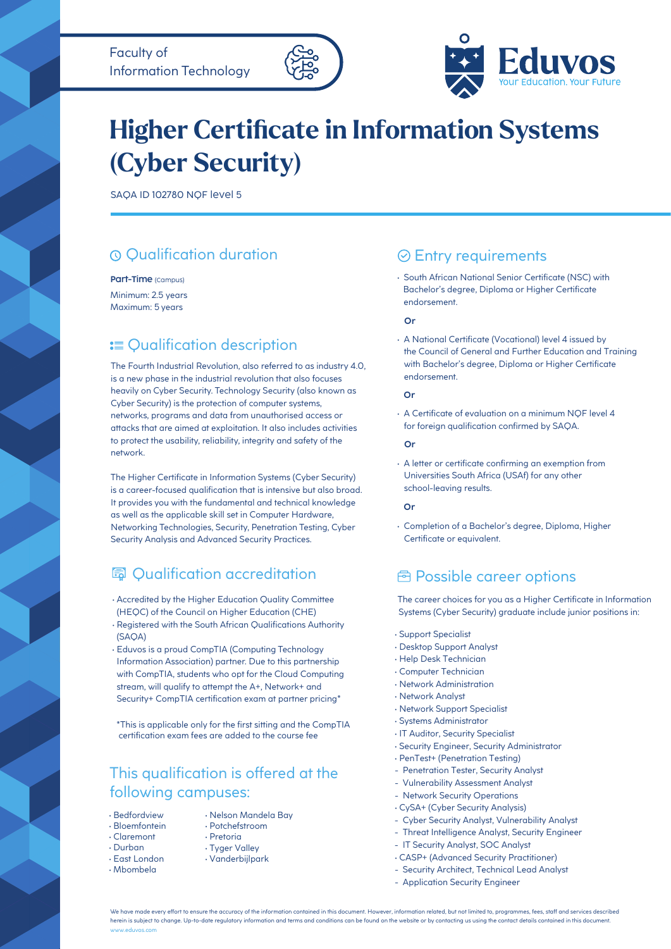



# **Higher Certificate in Information Systems (Cyber Security)**

SAQA ID 102780 NQF level 5

# Qualification duration

Part-Time (campus)

Minimum: 2.5 years Maximum: 5 years

# **:≡ Qualification description**

The Fourth Industrial Revolution, also referred to as industry 4.0, is a new phase in the industrial revolution that also focuses heavily on Cyber Security. Technology Security (also known as Cyber Security) is the protection of computer systems, networks, programs and data from unauthorised access or attacks that are aimed at exploitation. It also includes activities to protect the usability, reliability, integrity and safety of the network.

It provides you with the fundamental and technical knowledge as well as the applicable skill set in Computer Hardware, Networking Technologies, Security, Penetration Testing, Cyber Security Analysis and Advanced Security Practices. The Higher Certificate in Information Systems (Cyber Security) is a career-focused qualification that is intensive but also broad.

# **园 Oualification accreditation**

- Accredited by the Higher Education Quality Committee (HEQC) of the Council on Higher Education (CHE)
- (SAQA) • Registered with the South African Qualifications Authority
- Eduvos is a proud CompTIA (Computing Technology Information Association) partner. Due to this partnership with CompTIA, students who opt for the Cloud Computing stream, will qualify to attempt the A+, Network+ and Security+ CompTIA certification exam at partner pricing\*

\*This is applicable only for the first sitting and the CompTIA certification exam fees are added to the course fee

### following campuses: This qualification is offered at the

- Bedfordview
- Bloemfontein • Claremont
- Durban
- East London
- Mbombela
- Nelson Mandela Bay
- Potchefstroom • Pretoria
	-
	- Tyger Valley
- Vanderbijlpark

### Entry requirements

• South African National Senior Certificate (NSC) with Bachelor's degree, Diploma or Higher Certificate endorsement.

#### **Or**

• A National Certificate (Vocational) level 4 issued by the Council of General and Further Education and Training with Bachelor's degree, Diploma or Higher Certificate endorsement.

#### **Or**

• A Certificate of evaluation on a minimum NQF level 4 for foreign qualification confirmed by SAQA.

#### **Or**

• A letter or certificate confirming an exemption from Universities South Africa (USAf) for any other school-leaving results.

#### **Or**

• Completion of a Bachelor's degree, Diploma, Higher Certificate or equivalent.

### *<u><b>E* Possible career options</u>

Systems (Cyber Security) graduate include junior positions in: The career choices for you as a Higher Certificate in Information

- Support Specialist
- Desktop Support Analyst
- Help Desk Technician
- Computer Technician
- Network Administration
- Network Analyst
- Network Support Specialist
- Systems Administrator
- IT Auditor, Security Specialist
- Security Engineer, Security Administrator
- PenTest+ (Penetration Testing)
- Penetration Tester, Security Analyst
- Vulnerability Assessment Analyst
- Network Security Operations
- CySA+ (Cyber Security Analysis)
- Cyber Security Analyst, Vulnerability Analyst
- Threat Intelligence Analyst, Security Engineer
- IT Security Analyst, SOC Analyst
- CASP+ (Advanced Security Practitioner)
- Security Architect, Technical Lead Analyst
- Application Security Engineer

We have made every effort to ensure the accuracy of the information contained in this document. However, information related, but not limited to, programmes, fees, staff and services described herein is subject to change. Up-to-date regulatory information and terms and conditions can be found on the website or by contacting us using the contact details contained in this document. www.eduvos.com